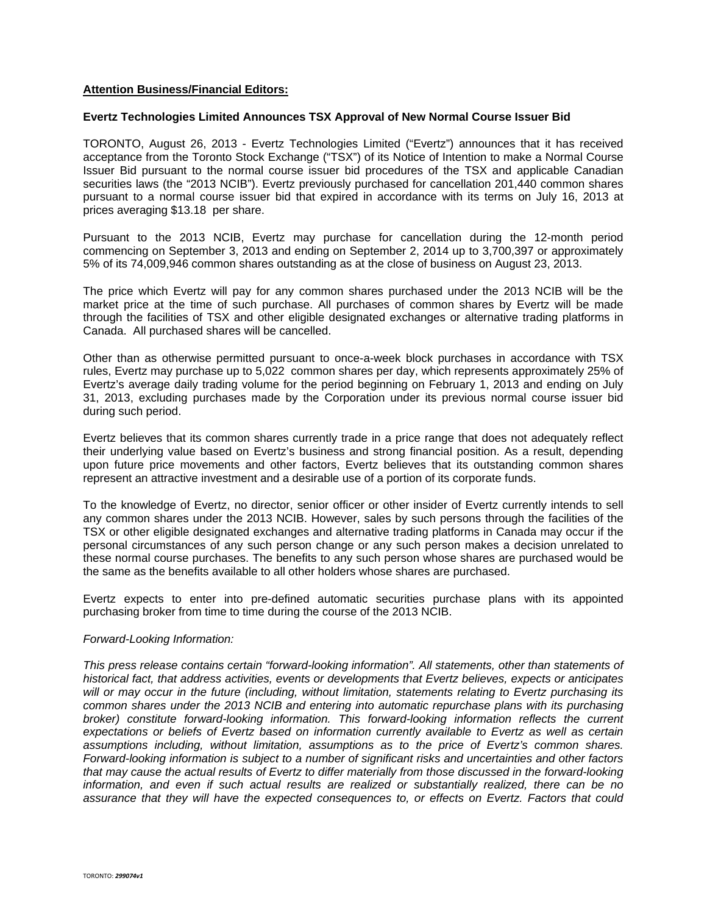## **Attention Business/Financial Editors:**

## **Evertz Technologies Limited Announces TSX Approval of New Normal Course Issuer Bid**

TORONTO, August 26, 2013 - Evertz Technologies Limited ("Evertz") announces that it has received acceptance from the Toronto Stock Exchange ("TSX") of its Notice of Intention to make a Normal Course Issuer Bid pursuant to the normal course issuer bid procedures of the TSX and applicable Canadian securities laws (the "2013 NCIB"). Evertz previously purchased for cancellation 201,440 common shares pursuant to a normal course issuer bid that expired in accordance with its terms on July 16, 2013 at prices averaging \$13.18 per share.

Pursuant to the 2013 NCIB, Evertz may purchase for cancellation during the 12-month period commencing on September 3, 2013 and ending on September 2, 2014 up to 3,700,397 or approximately 5% of its 74,009,946 common shares outstanding as at the close of business on August 23, 2013.

The price which Evertz will pay for any common shares purchased under the 2013 NCIB will be the market price at the time of such purchase. All purchases of common shares by Evertz will be made through the facilities of TSX and other eligible designated exchanges or alternative trading platforms in Canada. All purchased shares will be cancelled.

Other than as otherwise permitted pursuant to once-a-week block purchases in accordance with TSX rules, Evertz may purchase up to 5,022 common shares per day, which represents approximately 25% of Evertz's average daily trading volume for the period beginning on February 1, 2013 and ending on July 31, 2013, excluding purchases made by the Corporation under its previous normal course issuer bid during such period.

Evertz believes that its common shares currently trade in a price range that does not adequately reflect their underlying value based on Evertz's business and strong financial position. As a result, depending upon future price movements and other factors, Evertz believes that its outstanding common shares represent an attractive investment and a desirable use of a portion of its corporate funds.

To the knowledge of Evertz, no director, senior officer or other insider of Evertz currently intends to sell any common shares under the 2013 NCIB. However, sales by such persons through the facilities of the TSX or other eligible designated exchanges and alternative trading platforms in Canada may occur if the personal circumstances of any such person change or any such person makes a decision unrelated to these normal course purchases. The benefits to any such person whose shares are purchased would be the same as the benefits available to all other holders whose shares are purchased.

Evertz expects to enter into pre-defined automatic securities purchase plans with its appointed purchasing broker from time to time during the course of the 2013 NCIB.

## *Forward-Looking Information:*

*This press release contains certain "forward-looking information". All statements, other than statements of historical fact, that address activities, events or developments that Evertz believes, expects or anticipates will or may occur in the future (including, without limitation, statements relating to Evertz purchasing its common shares under the 2013 NCIB and entering into automatic repurchase plans with its purchasing broker) constitute forward-looking information. This forward-looking information reflects the current expectations or beliefs of Evertz based on information currently available to Evertz as well as certain assumptions including, without limitation, assumptions as to the price of Evertz's common shares. Forward-looking information is subject to a number of significant risks and uncertainties and other factors that may cause the actual results of Evertz to differ materially from those discussed in the forward-looking information, and even if such actual results are realized or substantially realized, there can be no assurance that they will have the expected consequences to, or effects on Evertz. Factors that could*